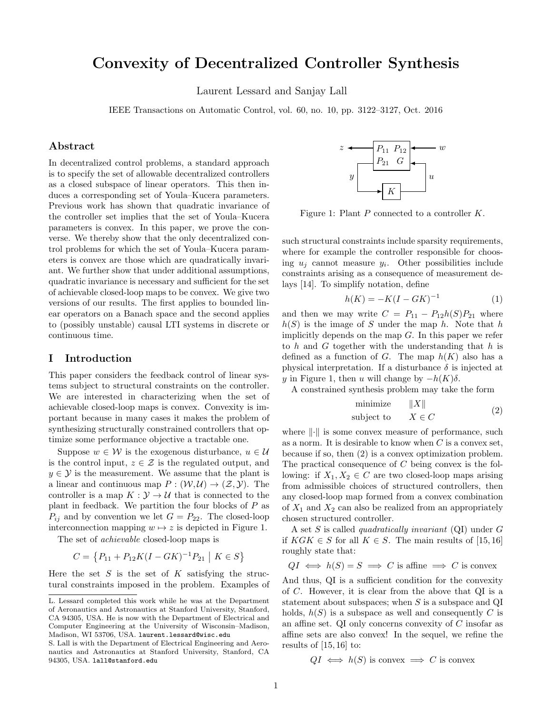# Convexity of Decentralized Controller Synthesis

Laurent Lessard and Sanjay Lall

IEEE Transactions on Automatic Control, vol. 60, no. 10, pp. 3122–3127, Oct. 2016

# Abstract

In decentralized control problems, a standard approach is to specify the set of allowable decentralized controllers as a closed subspace of linear operators. This then induces a corresponding set of Youla–Kucera parameters. Previous work has shown that quadratic invariance of the controller set implies that the set of Youla–Kucera parameters is convex. In this paper, we prove the converse. We thereby show that the only decentralized control problems for which the set of Youla–Kucera parameters is convex are those which are quadratically invariant. We further show that under additional assumptions, quadratic invariance is necessary and sufficient for the set of achievable closed-loop maps to be convex. We give two versions of our results. The first applies to bounded linear operators on a Banach space and the second applies to (possibly unstable) causal LTI systems in discrete or continuous time.

# <span id="page-0-2"></span>I Introduction

This paper considers the feedback control of linear systems subject to structural constraints on the controller. We are interested in characterizing when the set of achievable closed-loop maps is convex. Convexity is important because in many cases it makes the problem of synthesizing structurally constrained controllers that optimize some performance objective a tractable one.

Suppose  $w \in \mathcal{W}$  is the exogenous disturbance,  $u \in \mathcal{U}$ is the control input,  $z \in \mathcal{Z}$  is the regulated output, and  $y \in \mathcal{Y}$  is the measurement. We assume that the plant is a linear and continuous map  $P: (W, \mathcal{U}) \to (\mathcal{Z}, \mathcal{Y})$ . The controller is a map  $K: \mathcal{Y} \to \mathcal{U}$  that is connected to the plant in feedback. We partition the four blocks of  $P$  as  $P_{ij}$  and by convention we let  $G = P_{22}$ . The closed-loop interconnection mapping  $w \mapsto z$  is depicted in Figure [1.](#page-0-0)

The set of achievable closed-loop maps is

 $C = \{P_{11} + P_{12}K(I - GK)^{-1}P_{21} \mid K \in S\}$ 

Here the set  $S$  is the set of  $K$  satisfying the structural constraints imposed in the problem. Examples of

<span id="page-0-0"></span>

Figure 1: Plant P connected to a controller K.

such structural constraints include sparsity requirements, where for example the controller responsible for choosing  $u_j$  cannot measure  $y_i$ . Other possibilities include constraints arising as a consequence of measurement delays [\[14\]](#page-6-0). To simplify notation, define

$$
h(K) = -K(I - GK)^{-1}
$$
 (1)

and then we may write  $C = P_{11} - P_{12}h(S)P_{21}$  where  $h(S)$  is the image of S under the map h. Note that h implicitly depends on the map G. In this paper we refer to  $h$  and  $G$  together with the understanding that  $h$  is defined as a function of G. The map  $h(K)$  also has a physical interpretation. If a disturbance  $\delta$  is injected at y in Figure [1,](#page-0-0) then u will change by  $-h(K)\delta$ .

A constrained synthesis problem may take the form

<span id="page-0-1"></span>
$$
\begin{array}{ll}\text{minimize} & \|X\|\\ \text{subject to} & X \in C \end{array} \tag{2}
$$

where  $\lVert \cdot \rVert$  is some convex measure of performance, such as a norm. It is desirable to know when  $C$  is a convex set, because if so, then [\(2\)](#page-0-1) is a convex optimization problem. The practical consequence of C being convex is the following: if  $X_1, X_2 \in C$  are two closed-loop maps arising from admissible choices of structured controllers, then any closed-loop map formed from a convex combination of  $X_1$  and  $X_2$  can also be realized from an appropriately chosen structured controller.

A set  $S$  is called *quadratically invariant* (QI) under  $G$ if  $KGK \in S$  for all  $K \in S$ . The main results of [\[15,](#page-6-1) [16\]](#page-6-2) roughly state that:

$$
QI \iff h(S) = S \implies C
$$
 is affine  $\implies C$  is convex

And thus, QI is a sufficient condition for the convexity of C. However, it is clear from the above that QI is a statement about subspaces; when  $S$  is a subspace and QI holds,  $h(S)$  is a subspace as well and consequently C is an affine set. QI only concerns convexity of  $C$  insofar as affine sets are also convex! In the sequel, we refine the results of  $[15, 16]$  $[15, 16]$  to:

 $QI \iff h(S)$  is convex  $\implies C$  is convex

L. Lessard completed this work while he was at the Department of Aeronautics and Astronautics at Stanford University, Stanford, CA 94305, USA. He is now with the Department of Electrical and Computer Engineering at the University of Wisconsin–Madison, Madison, WI 53706, USA. laurent.lessard@wisc.edu

S. Lall is with the Department of Electrical Engineering and Aeronautics and Astronautics at Stanford University, Stanford, CA 94305, USA. lall@stanford.edu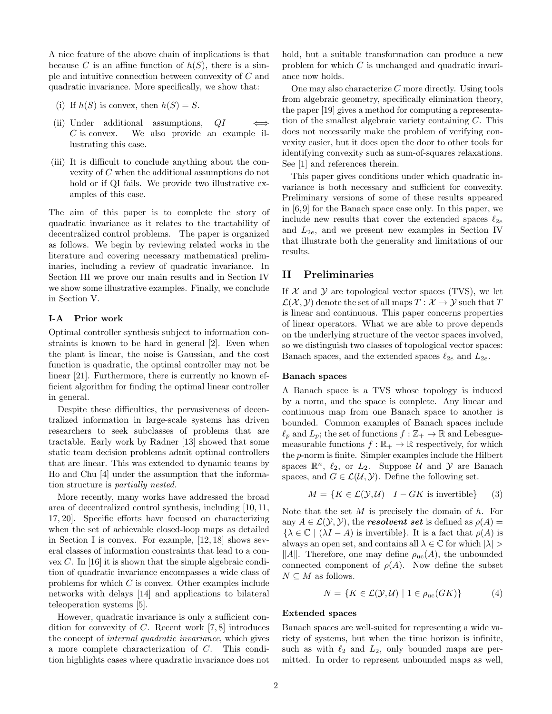A nice feature of the above chain of implications is that because C is an affine function of  $h(S)$ , there is a simple and intuitive connection between convexity of C and quadratic invariance. More specifically, we show that:

- (i) If  $h(S)$  is convex, then  $h(S) = S$ .
- (ii) Under additional assumptions,  $QI \iff$ C is convex. We also provide an example illustrating this case.
- (iii) It is difficult to conclude anything about the convexity of C when the additional assumptions do not hold or if QI fails. We provide two illustrative examples of this case.

The aim of this paper is to complete the story of quadratic invariance as it relates to the tractability of decentralized control problems. The paper is organized as follows. We begin by reviewing related works in the literature and covering necessary mathematical preliminaries, including a review of quadratic invariance. In Section [III](#page-2-0) we prove our main results and in Section [IV](#page-4-0) we show some illustrative examples. Finally, we conclude in Section [V.](#page-5-0)

#### I-A Prior work

Optimal controller synthesis subject to information constraints is known to be hard in general [\[2\]](#page-6-3). Even when the plant is linear, the noise is Gaussian, and the cost function is quadratic, the optimal controller may not be linear [\[21\]](#page-6-4). Furthermore, there is currently no known efficient algorithm for finding the optimal linear controller in general.

Despite these difficulties, the pervasiveness of decentralized information in large-scale systems has driven researchers to seek subclasses of problems that are tractable. Early work by Radner [\[13\]](#page-6-5) showed that some static team decision problems admit optimal controllers that are linear. This was extended to dynamic teams by Ho and Chu [\[4\]](#page-6-6) under the assumption that the information structure is partially nested.

More recently, many works have addressed the broad area of decentralized control synthesis, including [\[10,](#page-6-7) [11,](#page-6-8) [17,](#page-6-9) [20\]](#page-6-10). Specific efforts have focused on characterizing when the set of achievable closed-loop maps as detailed in Section [I](#page-0-2) is convex. For example, [\[12,](#page-6-11) [18\]](#page-6-12) shows several classes of information constraints that lead to a convex  $C$ . In [\[16\]](#page-6-2) it is shown that the simple algebraic condition of quadratic invariance encompasses a wide class of problems for which C is convex. Other examples include networks with delays [\[14\]](#page-6-0) and applications to bilateral teleoperation systems [\[5\]](#page-6-13).

However, quadratic invariance is only a sufficient condition for convexity of  $C$ . Recent work [\[7,](#page-6-14)8] introduces the concept of internal quadratic invariance, which gives a more complete characterization of C. This condition highlights cases where quadratic invariance does not hold, but a suitable transformation can produce a new problem for which C is unchanged and quadratic invariance now holds.

One may also characterize  $C$  more directly. Using tools from algebraic geometry, specifically elimination theory, the paper [\[19\]](#page-6-16) gives a method for computing a representation of the smallest algebraic variety containing C. This does not necessarily make the problem of verifying convexity easier, but it does open the door to other tools for identifying convexity such as sum-of-squares relaxations. See [\[1\]](#page-6-17) and references therein.

This paper gives conditions under which quadratic invariance is both necessary and sufficient for convexity. Preliminary versions of some of these results appeared in [\[6,](#page-6-18)[9\]](#page-6-19) for the Banach space case only. In this paper, we include new results that cover the extended spaces  $\ell_{2e}$ and  $L_{2e}$ , and we present new examples in Section [IV](#page-4-0) that illustrate both the generality and limitations of our results.

# <span id="page-1-2"></span>II Preliminaries

If  $X$  and  $Y$  are topological vector spaces (TVS), we let  $\mathcal{L}(\mathcal{X}, \mathcal{Y})$  denote the set of all maps  $T : \mathcal{X} \to \mathcal{Y}$  such that T is linear and continuous. This paper concerns properties of linear operators. What we are able to prove depends on the underlying structure of the vector spaces involved, so we distinguish two classes of topological vector spaces: Banach spaces, and the extended spaces  $\ell_{2e}$  and  $L_{2e}$ .

#### Banach spaces

A Banach space is a TVS whose topology is induced by a norm, and the space is complete. Any linear and continuous map from one Banach space to another is bounded. Common examples of Banach spaces include  $\ell_p$  and  $L_p$ ; the set of functions  $f : \mathbb{Z}_+ \to \mathbb{R}$  and Lebesguemeasurable functions  $f : \mathbb{R}_+ \to \mathbb{R}$  respectively, for which the p-norm is finite. Simpler examples include the Hilbert spaces  $\mathbb{R}^n$ ,  $\ell_2$ , or  $L_2$ . Suppose U and Y are Banach spaces, and  $G \in \mathcal{L}(\mathcal{U}, \mathcal{Y})$ . Define the following set.

<span id="page-1-0"></span>
$$
M = \{ K \in \mathcal{L}(\mathcal{Y}, \mathcal{U}) \mid I - GK \text{ is invertible} \}
$$
 (3)

Note that the set  $M$  is precisely the domain of  $h$ . For any  $A \in \mathcal{L}(\mathcal{Y}, \mathcal{Y})$ , the **resolvent set** is defined as  $\rho(A)$  =  $\{\lambda \in \mathbb{C} \mid (\lambda I - A)$  is invertible}. It is a fact that  $\rho(A)$  is always an open set, and contains all  $\lambda \in \mathbb{C}$  for which  $|\lambda| >$  $||A||$ . Therefore, one may define  $\rho_{\rm uc}(A)$ , the unbounded connected component of  $\rho(A)$ . Now define the subset  $N \subseteq M$  as follows.

<span id="page-1-1"></span>
$$
N = \{ K \in \mathcal{L}(\mathcal{Y}, \mathcal{U}) \mid 1 \in \rho_{\text{uc}}(G K) \}
$$
 (4)

#### Extended spaces

Banach spaces are well-suited for representing a wide variety of systems, but when the time horizon is infinite, such as with  $\ell_2$  and  $L_2$ , only bounded maps are permitted. In order to represent unbounded maps as well,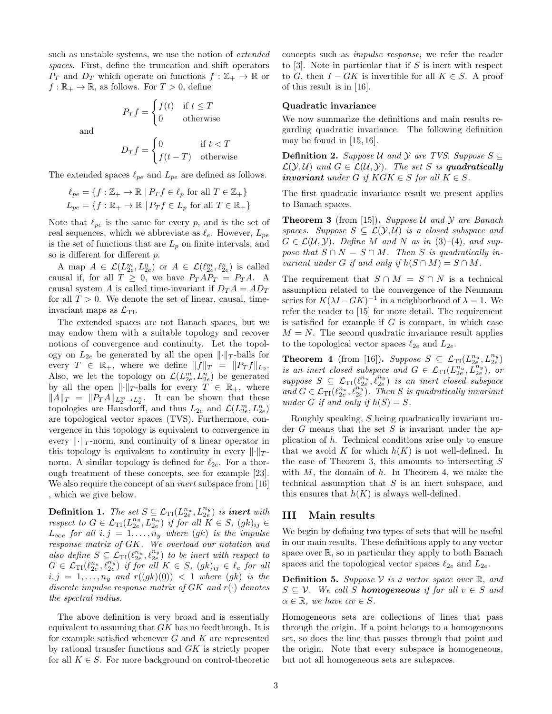such as unstable systems, we use the notion of *extended* spaces. First, define the truncation and shift operators  $P_T$  and  $D_T$  which operate on functions  $f : \mathbb{Z}_+ \to \mathbb{R}$  or  $f : \mathbb{R}_+ \to \mathbb{R}$ , as follows. For  $T > 0$ , define

> $P_T f =$  $\int f(t)$  if  $t \leq T$ 0 otherwise

and

$$
D_T f = \begin{cases} 0 & \text{if } t < T \\ f(t - T) & \text{otherwise} \end{cases}
$$

The extended spaces  $\ell_{pe}$  and  $L_{pe}$  are defined as follows.

$$
\ell_{pe} = \{ f : \mathbb{Z}_+ \to \mathbb{R} \mid P_T f \in \ell_p \text{ for all } T \in \mathbb{Z}_+ \}
$$
  

$$
L_{pe} = \{ f : \mathbb{R}_+ \to \mathbb{R} \mid P_T f \in L_p \text{ for all } T \in \mathbb{R}_+ \}
$$

Note that  $\ell_{pe}$  is the same for every p, and is the set of real sequences, which we abbreviate as  $\ell_e$ . However,  $L_{pe}$ is the set of functions that are  $L_p$  on finite intervals, and so is different for different p.

A map  $A \in \mathcal{L}(L_{2e}^m, L_{2e}^n)$  or  $A \in \mathcal{L}(\ell_{2e}^m, \ell_{2e}^n)$  is called causal if, for all  $T \geq 0$ , we have  $P_T A P_T = P_T A$ . A causal system A is called time-invariant if  $D_T A = A D_T$ for all  $T > 0$ . We denote the set of linear, causal, timeinvariant maps as  $\mathcal{L}_{\text{TI}}$ .

The extended spaces are not Banach spaces, but we may endow them with a suitable topology and recover notions of convergence and continuity. Let the topology on  $L_{2e}$  be generated by all the open  $\lVert \cdot \rVert_T$ -balls for every  $T \in \mathbb{R}_+$ , where we define  $||f||_T = ||P_T f||_{L_2}$ . Also, we let the topology on  $\mathcal{L}(L_{2e}^m, L_{2e}^n)$  be generated by all the open  $\lVert \cdot \rVert_T$ -balls for every  $T \in \mathbb{R}_+$ , where  $||A||_T = ||P_T A||_{L_2^m \to L_2^n}$ . It can be shown that these topologies are Hausdorff, and thus  $L_{2e}$  and  $\mathcal{L}(L_{2e}^m, L_{2e}^n)$ are topological vector spaces (TVS). Furthermore, convergence in this topology is equivalent to convergence in every  $\lVert \cdot \rVert_T$ -norm, and continuity of a linear operator in this topology is equivalent to continuity in every  $\|\cdot\|_T$ norm. A similar topology is defined for  $\ell_{2e}$ . For a thorough treatment of these concepts, see for example [\[23\]](#page-6-20). We also require the concept of an inert subspace from [\[16\]](#page-6-2) , which we give below.

**Definition 1.** The set  $S \subseteq \mathcal{L}_{\text{TI}}(L_{2e}^{n_u}, L_{2e}^{n_y})$  is **inert** with respect to  $G \in \mathcal{L}_{\text{TI}}(L_{2e}^{n_y}, L_{2e}^{\overline{n}_u})$  if for all  $K \in S$ ,  $(gk)_{ij} \in$  $L_{\infty e}$  for all  $i, j = 1, ..., n_y$  where  $(gk)$  is the impulse response matrix of GK. We overload our notation and also define  $S \subseteq \mathcal{L}_{\text{TI}}(\ell_{2e}^{n_u}, \ell_{2e}^{n_y})$  to be inert with respect to  $G \in \mathcal{L}_{\text{TI}}(\ell_{2e}^{n_u}, \overline{\ell}_{2e}^{n_y})$  if for all  $K \in S$ ,  $(gk)_{ij} \in \ell_e$  for all  $i, j = 1, \ldots, n_y$  and  $r((gk)(0)) < 1$  where  $(gk)$  is the discrete impulse response matrix of  $GK$  and  $r(\cdot)$  denotes the spectral radius.

The above definition is very broad and is essentially equivalent to assuming that  $GK$  has no feedthrough. It is for example satisfied whenever  $G$  and  $K$  are represented by rational transfer functions and GK is strictly proper for all  $K \in S$ . For more background on control-theoretic concepts such as impulse response, we refer the reader to  $[3]$ . Note in particular that if S is inert with respect to G, then  $I - GK$  is invertible for all  $K \in S$ . A proof of this result is in [\[16\]](#page-6-2).

#### Quadratic invariance

We now summarize the definitions and main results regarding quadratic invariance. The following definition may be found in [\[15,](#page-6-1) [16\]](#page-6-2).

**Definition 2.** Suppose U and Y are TVS. Suppose  $S \subseteq$  $\mathcal{L}(\mathcal{Y}, \mathcal{U})$  and  $G \in \mathcal{L}(\mathcal{U}, \mathcal{Y})$ . The set S is quadratically invariant under G if  $KGK \in S$  for all  $K \in S$ .

The first quadratic invariance result we present applies to Banach spaces.

<span id="page-2-1"></span>**Theorem 3** (from [\[15\]](#page-6-1)). Suppose U and Y are Banach spaces. Suppose  $S \subseteq \mathcal{L}(\mathcal{Y}, \mathcal{U})$  is a closed subspace and  $G \in \mathcal{L}(\mathcal{U}, \mathcal{Y})$ . Define M and N as in [\(3\)](#page-1-0)–[\(4\)](#page-1-1), and suppose that  $S \cap N = S \cap M$ . Then S is quadratically invariant under G if and only if  $h(S \cap M) = S \cap M$ .

The requirement that  $S \cap M = S \cap N$  is a technical assumption related to the convergence of the Neumann series for  $K(\lambda I - GK)^{-1}$  in a neighborhood of  $\lambda = 1$ . We refer the reader to [\[15\]](#page-6-1) for more detail. The requirement is satisfied for example if  $G$  is compact, in which case  $M = N$ . The second quadratic invariance result applies to the topological vector spaces  $\ell_{2e}$  and  $L_{2e}$ .

<span id="page-2-2"></span>**Theorem 4** (from [\[16\]](#page-6-2)). Suppose  $S \subseteq \mathcal{L}_{TI}(L_{2e}^{n_u}, L_{2e}^{n_y})$ is an inert closed subspace and  $G \in \mathcal{L}_{\text{TI}}(L_{2e}^{n_u}, L_{2e}^{n_y})$ , or suppose  $S \subseteq \mathcal{L}_{\text{TI}}(\ell_{2e}^{n_u}, \ell_{2e}^{n_y})$  is an inert closed subspace and  $G \in \mathcal{L}_{\text{TI}}(\ell_{2e}^{n_u}, \ell_{2e}^{n_y})$ . Then S is quadratically invariant under G if and only if  $h(S) = S$ .

Roughly speaking, S being quadratically invariant under  $G$  means that the set  $S$  is invariant under the application of h. Technical conditions arise only to ensure that we avoid K for which  $h(K)$  is not well-defined. In the case of Theorem [3,](#page-2-1) this amounts to intersecting  $S$ with  $M$ , the domain of  $h$ . In Theorem [4,](#page-2-2) we make the technical assumption that  $S$  is an inert subspace, and this ensures that  $h(K)$  is always well-defined.

# <span id="page-2-0"></span>III Main results

We begin by defining two types of sets that will be useful in our main results. These definitions apply to any vector space over  $\mathbb{R}$ , so in particular they apply to both Banach spaces and the topological vector spaces  $\ell_{2e}$  and  $L_{2e}$ .

**Definition 5.** Suppose  $V$  is a vector space over  $\mathbb{R}$ , and  $S \subseteq V$ . We call S **homogeneous** if for all  $v \in S$  and  $\alpha \in \mathbb{R}$ , we have  $\alpha v \in S$ .

Homogeneous sets are collections of lines that pass through the origin. If a point belongs to a homogeneous set, so does the line that passes through that point and the origin. Note that every subspace is homogeneous, but not all homogeneous sets are subspaces.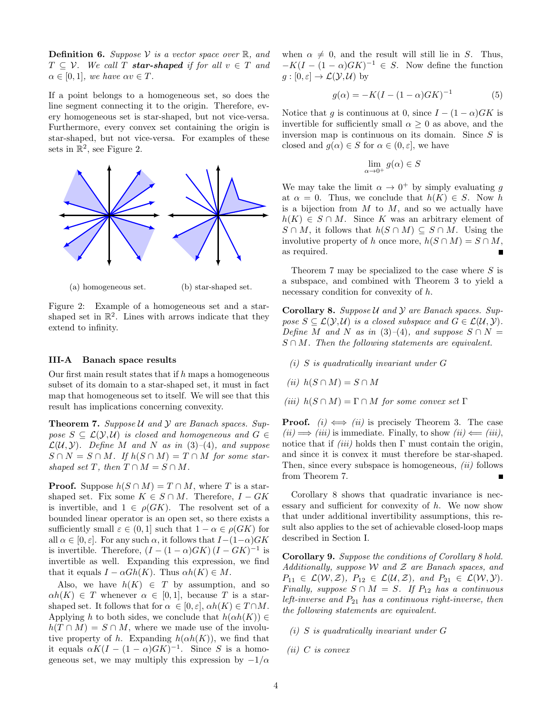**Definition 6.** Suppose V is a vector space over  $\mathbb{R}$ , and  $T \subset \mathcal{V}$ . We call T **star-shaped** if for all  $v \in T$  and  $\alpha \in [0, 1]$ , we have  $\alpha v \in T$ .

If a point belongs to a homogeneous set, so does the line segment connecting it to the origin. Therefore, every homogeneous set is star-shaped, but not vice-versa. Furthermore, every convex set containing the origin is star-shaped, but not vice-versa. For examples of these sets in  $\mathbb{R}^2$ , see Figure [2.](#page-3-0)

<span id="page-3-0"></span>

(a) homogeneous set. (b) star-shaped set.

Figure 2: Example of a homogeneous set and a starshaped set in  $\mathbb{R}^2$ . Lines with arrows indicate that they extend to infinity.

#### <span id="page-3-3"></span>III-A Banach space results

Our first main result states that if  $h$  maps a homogeneous subset of its domain to a star-shaped set, it must in fact map that homogeneous set to itself. We will see that this result has implications concerning convexity.

<span id="page-3-1"></span>**Theorem 7.** Suppose  $U$  and  $Y$  are Banach spaces. Suppose  $S \subseteq \mathcal{L}(\mathcal{Y}, \mathcal{U})$  is closed and homogeneous and  $G \in$  $\mathcal{L}(\mathcal{U}, \mathcal{Y})$ . Define M and N as in [\(3\)](#page-1-0)–[\(4\)](#page-1-1), and suppose  $S \cap N = S \cap M$ . If  $h(S \cap M) = T \cap M$  for some starshaped set T, then  $T \cap M = S \cap M$ .

**Proof.** Suppose  $h(S \cap M) = T \cap M$ , where T is a starshaped set. Fix some  $K \in S \cap M$ . Therefore,  $I - GK$ is invertible, and  $1 \in \rho(GK)$ . The resolvent set of a bounded linear operator is an open set, so there exists a sufficiently small  $\varepsilon \in (0,1]$  such that  $1-\alpha \in \rho(GK)$  for all  $\alpha \in [0, \varepsilon]$ . For any such  $\alpha$ , it follows that  $I-(1-\alpha)GK$ is invertible. Therefore,  $(I - (1 - \alpha)GK)(I - GK)^{-1}$  is invertible as well. Expanding this expression, we find that it equals  $I - \alpha Gh(K)$ . Thus  $\alpha h(K) \in M$ .

Also, we have  $h(K) \in T$  by assumption, and so  $\alpha h(K) \in T$  whenever  $\alpha \in [0,1]$ , because T is a starshaped set. It follows that for  $\alpha \in [0, \varepsilon], \alpha h(K) \in T \cap M$ . Applying h to both sides, we conclude that  $h(\alpha h(K)) \in$  $h(T \cap M) = S \cap M$ , where we made use of the involutive property of h. Expanding  $h(\alpha h(K))$ , we find that it equals  $\alpha K(I - (1 - \alpha)GK)^{-1}$ . Since S is a homogeneous set, we may multiply this expression by  $-1/\alpha$  when  $\alpha \neq 0$ , and the result will still lie in S. Thus,  $-K(I - (1 - \alpha)GK)^{-1} \in S$ . Now define the function  $g:[0,\varepsilon]\to\mathcal{L}(\mathcal{Y},\mathcal{U})$  by

<span id="page-3-4"></span>
$$
g(\alpha) = -K(I - (1 - \alpha)GK)^{-1}
$$
 (5)

Notice that g is continuous at 0, since  $I - (1 - \alpha)GK$  is invertible for sufficiently small  $\alpha \geq 0$  as above, and the inversion map is continuous on its domain. Since  $S$  is closed and  $q(\alpha) \in S$  for  $\alpha \in (0, \varepsilon]$ , we have

$$
\lim_{\alpha \to 0^+} g(\alpha) \in S
$$

We may take the limit  $\alpha \to 0^+$  by simply evaluating g at  $\alpha = 0$ . Thus, we conclude that  $h(K) \in S$ . Now h is a bijection from  $M$  to  $M$ , and so we actually have  $h(K) \in S \cap M$ . Since K was an arbitrary element of  $S \cap M$ , it follows that  $h(S \cap M) \subseteq S \cap M$ . Using the involutive property of h once more,  $h(S \cap M) = S \cap M$ , as required.

Theorem [7](#page-3-1) may be specialized to the case where S is a subspace, and combined with Theorem [3](#page-2-1) to yield a necessary condition for convexity of h.

<span id="page-3-2"></span>**Corollary 8.** Suppose  $U$  and  $Y$  are Banach spaces. Suppose  $S \subseteq \mathcal{L}(\mathcal{Y}, \mathcal{U})$  is a closed subspace and  $G \in \mathcal{L}(\mathcal{U}, \mathcal{Y})$ . Define M and N as in [\(3\)](#page-1-0)–[\(4\)](#page-1-1), and suppose  $S \cap N =$  $S \cap M$ . Then the following statements are equivalent.

- (i) S is quadratically invariant under G
- (ii)  $h(S \cap M) = S \cap M$
- (iii)  $h(S \cap M) = \Gamma \cap M$  for some convex set  $\Gamma$

**Proof.** (i)  $\iff$  (ii) is precisely Theorem [3.](#page-2-1) The case  $(ii) \Longrightarrow (iii)$  is immediate. Finally, to show  $(ii) \Longleftarrow (iii)$ , notice that if  $(iii)$  holds then Γ must contain the origin, and since it is convex it must therefore be star-shaped. Then, since every subspace is homogeneous,  $(ii)$  follows from Theorem [7.](#page-3-1)

Corollary [8](#page-3-2) shows that quadratic invariance is necessary and sufficient for convexity of  $h$ . We now show that under additional invertibility assumptions, this result also applies to the set of achievable closed-loop maps described in Section [I.](#page-0-2)

<span id="page-3-5"></span>Corollary 9. Suppose the conditions of Corollary [8](#page-3-2) hold. Additionally, suppose  $W$  and  $Z$  are Banach spaces, and  $P_{11} \in \mathcal{L}(\mathcal{W}, \mathcal{Z}), P_{12} \in \mathcal{L}(\mathcal{U}, \mathcal{Z}), \text{ and } P_{21} \in \mathcal{L}(\mathcal{W}, \mathcal{Y}).$ Finally, suppose  $S \cap M = S$ . If  $P_{12}$  has a continuous left-inverse and  $P_{21}$  has a continuous right-inverse, then the following statements are equivalent.

- (i) S is quadratically invariant under G
- $(ii)$  C is convex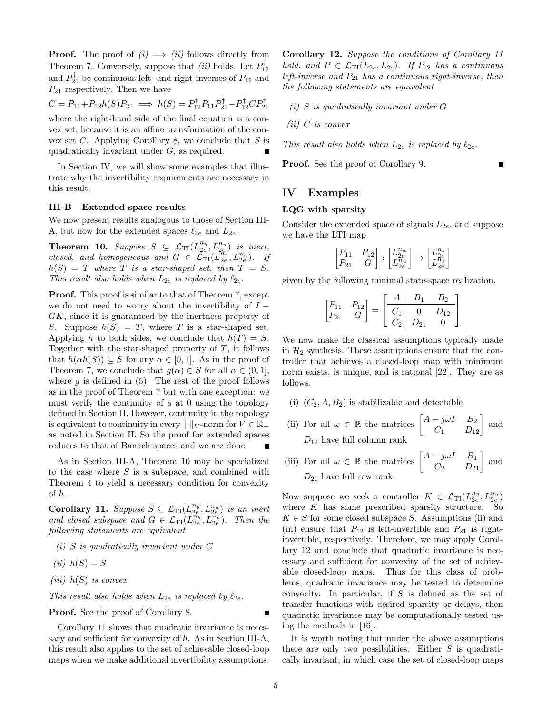**Proof.** The proof of  $(i) \implies (ii)$  follows directly from Theorem [7.](#page-3-1) Conversely, suppose that  $(ii)$  holds. Let  $P_{12}^{\dagger}$ and  $P_{21}^{\dagger}$  be continuous left- and right-inverses of  $P_{12}$  and  $P_{21}$  respectively. Then we have

$$
C = P_{11} + P_{12}h(S)P_{21} \implies h(S) = P_{12}^{\dagger}P_{11}P_{21}^{\dagger} - P_{12}^{\dagger}CP_{21}^{\dagger}
$$

where the right-hand side of the final equation is a convex set, because it is an affine transformation of the convex set  $C$ . Applying Corollary [8,](#page-3-2) we conclude that  $S$  is quadratically invariant under G, as required.

In Section [IV,](#page-4-0) we will show some examples that illustrate why the invertibility requirements are necessary in this result.

#### III-B Extended space results

We now present results analogous to those of Section [III-](#page-3-3)[A,](#page-3-3) but now for the extended spaces  $\ell_{2e}$  and  $L_{2e}$ .

<span id="page-4-1"></span>**Theorem 10.** Suppose  $S \subseteq \mathcal{L}_{TI}(L_{2e}^{n_y}, L_{2e}^{n_u})$  is inert, closed, and homogeneous and  $G \in \mathcal{L}_{\text{TI}}(L_{2e}^{\pi_{y}}, L_{2e}^{n_{u}})$ . If  $h(S) = T$  where T is a star-shaped set, then  $T = S$ . This result also holds when  $L_{2e}$  is replaced by  $\ell_{2e}$ .

Proof. This proof is similar to that of Theorem [7,](#page-3-1) except we do not need to worry about the invertibility of  $I$  − GK, since it is guaranteed by the inertness property of S. Suppose  $h(S) = T$ , where T is a star-shaped set. Applying h to both sides, we conclude that  $h(T) = S$ . Together with the star-shaped property of  $T$ , it follows that  $h(\alpha h(S)) \subseteq S$  for any  $\alpha \in [0,1]$ . As in the proof of Theorem [7,](#page-3-1) we conclude that  $g(\alpha) \in S$  for all  $\alpha \in (0,1]$ , where  $g$  is defined in [\(5\)](#page-3-4). The rest of the proof follows as in the proof of Theorem [7](#page-3-1) but with one exception: we must verify the continuity of  $q$  at 0 using the topology defined in Section [II.](#page-1-2) However, continuity in the topology is equivalent to continuity in every  $\lVert \cdot \rVert_V$ -norm for  $V \in \mathbb{R}_+$ as noted in Section [II.](#page-1-2) So the proof for extended spaces reduces to that of Banach spaces and we are done.  $\blacksquare$ 

As in Section [III-A,](#page-3-3) Theorem [10](#page-4-1) may be specialized to the case where  $S$  is a subspace, and combined with Theorem [4](#page-2-2) to yield a necessary condition for convexity of h.

<span id="page-4-2"></span>Corollary 11. Suppose  $S \subseteq \mathcal{L}_{\text{TI}}(L_{2e}^{n_y}, L_{2e}^{n_u})$  is an inert and closed subspace and  $G \in \mathcal{L}_{\text{TI}}(L_{2e}^{\pi_v}, L_{2e}^{\pi_u})$ . Then the following statements are equivalent

- (i) S is quadratically invariant under G
- (ii)  $h(S) = S$
- (iii)  $h(S)$  is convex

This result also holds when  $L_{2e}$  is replaced by  $\ell_{2e}$ .

Proof. See the proof of Corollary [8.](#page-3-2)

Corollary [11](#page-4-2) shows that quadratic invariance is necessary and sufficient for convexity of h. As in Section [III-A,](#page-3-3) this result also applies to the set of achievable closed-loop maps when we make additional invertibility assumptions.

<span id="page-4-3"></span>Corollary 12. Suppose the conditions of Corollary [11](#page-4-2) hold, and  $P \in \mathcal{L}_{TI}(L_{2e}, L_{2e})$ . If  $P_{12}$  has a continuous left-inverse and  $P_{21}$  has a continuous right-inverse, then the following statements are equivalent

(i) S is quadratically invariant under G

 $(ii)$  C is convex

This result also holds when  $L_{2e}$  is replaced by  $\ell_{2e}$ .

Proof. See the proof of Corollary [9.](#page-3-5)

### <span id="page-4-0"></span>IV Examples

#### LQG with sparsity

Consider the extended space of signals  $L_{2e}$ , and suppose we have the LTI map

$$
\begin{bmatrix} P_{11} & P_{12} \\ P_{21} & G \end{bmatrix} : \begin{bmatrix} L_{2e}^{n_w} \\ L_{2e}^{n_u} \end{bmatrix} \rightarrow \begin{bmatrix} L_{2e}^{n_z} \\ L_{2e}^{n_v} \end{bmatrix}
$$

given by the following minimal state-space realization.

$$
\begin{bmatrix} P_{11} & P_{12} \\ P_{21} & G \end{bmatrix} = \begin{bmatrix} A & B_1 & B_2 \\ \hline C_1 & 0 & D_{12} \\ C_2 & D_{21} & 0 \end{bmatrix}
$$

We now make the classical assumptions typically made in  $\mathcal{H}_2$  synthesis. These assumptions ensure that the controller that achieves a closed-loop map with minimum norm exists, is unique, and is rational [\[22\]](#page-6-22). They are as follows.

- (i)  $(C_2, A, B_2)$  is stabilizable and detectable
- (ii) For all  $\omega \in \mathbb{R}$  the matrices  $\begin{bmatrix} A j\omega I & B_2 \\ C_1 & D_{12} \end{bmatrix}$  and  $D_{12}$  have full column rank
- (iii) For all  $\omega \in \mathbb{R}$  the matrices  $\begin{bmatrix} A j\omega I & B_1 \\ C_2 & D_{21} \end{bmatrix}$  and  $D_{21}$  have full row rank

Now suppose we seek a controller  $K \in \mathcal{L}_{\text{TI}}(L_{2e}^{n_y}, L_{2e}^{n_u})$ where  $K$  has some prescribed sparsity structure. So  $K \in S$  for some closed subspace S. Assumptions (ii) and (iii) ensure that  $P_{12}$  is left-invertible and  $P_{21}$  is rightinvertible, respectively. Therefore, we may apply Corollary [12](#page-4-3) and conclude that quadratic invariance is necessary and sufficient for convexity of the set of achievable closed-loop maps. Thus for this class of problems, quadratic invariance may be tested to determine convexity. In particular, if  $S$  is defined as the set of transfer functions with desired sparsity or delays, then quadratic invariance may be computationally tested using the methods in [\[16\]](#page-6-2).

It is worth noting that under the above assumptions there are only two possibilities. Either  $S$  is quadratically invariant, in which case the set of closed-loop maps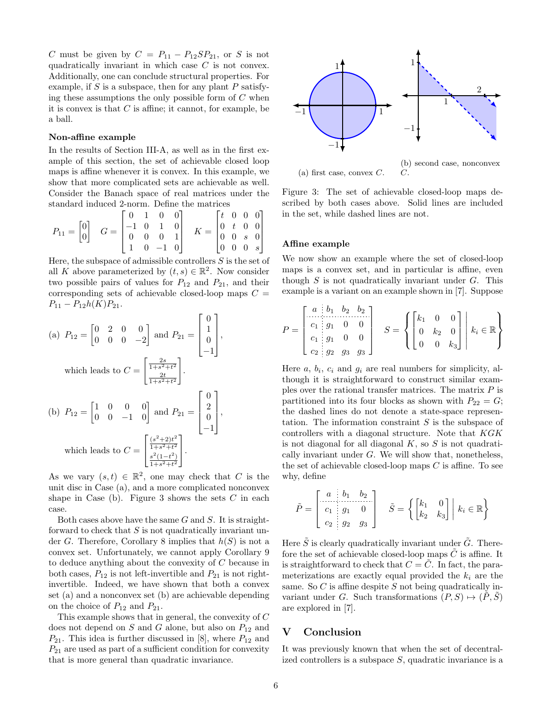C must be given by  $C = P_{11} - P_{12}SP_{21}$ , or S is not quadratically invariant in which case C is not convex. Additionally, one can conclude structural properties. For example, if  $S$  is a subspace, then for any plant  $P$  satisfying these assumptions the only possible form of  $C$  when it is convex is that  $C$  is affine; it cannot, for example, be a ball.

#### Non-affine example

In the results of Section [III-A,](#page-3-3) as well as in the first example of this section, the set of achievable closed loop maps is affine whenever it is convex. In this example, we show that more complicated sets are achievable as well. Consider the Banach space of real matrices under the standard induced 2-norm. Define the matrices

$$
P_{11} = \begin{bmatrix} 0 \\ 0 \end{bmatrix} \quad G = \begin{bmatrix} 0 & 1 & 0 & 0 \\ -1 & 0 & 1 & 0 \\ 0 & 0 & 0 & 1 \\ 1 & 0 & -1 & 0 \end{bmatrix} \quad K = \begin{bmatrix} t & 0 & 0 & 0 \\ 0 & t & 0 & 0 \\ 0 & 0 & s & 0 \\ 0 & 0 & 0 & s \end{bmatrix}
$$

Here, the subspace of admissible controllers  $S$  is the set of all K above parameterized by  $(t, s) \in \mathbb{R}^2$ . Now consider two possible pairs of values for  $P_{12}$  and  $P_{21}$ , and their corresponding sets of achievable closed-loop maps  $C =$  $P_{11} - P_{12}h(K)P_{21}.$ 

(a) 
$$
P_{12} = \begin{bmatrix} 0 & 2 & 0 & 0 \\ 0 & 0 & 0 & -2 \end{bmatrix}
$$
 and  $P_{21} = \begin{bmatrix} 0 \\ 1 \\ 0 \\ -1 \end{bmatrix}$ ,  
\nwhich leads to  $C = \begin{bmatrix} \frac{2s}{1+s^2+t^2} \\ \frac{2t}{1+s^2+t^2} \end{bmatrix}$ .  
\n(b)  $P_{12} = \begin{bmatrix} 1 & 0 & 0 & 0 \\ 0 & 0 & -1 & 0 \end{bmatrix}$  and  $P_{21} = \begin{bmatrix} 0 \\ 2 \\ 0 \\ -1 \end{bmatrix}$ ,  
\nwhich leads to  $C = \begin{bmatrix} \frac{(s^2+2)t^2}{1+s^2+t^2} \\ \frac{s^2(1-t^2)}{1+s^2+t^2} \end{bmatrix}$ .

As we vary  $(s,t) \in \mathbb{R}^2$ , one may check that C is the unit disc in Case (a), and a more complicated nonconvex shape in Case (b). Figure [3](#page-5-1) shows the sets  $C$  in each case.

Both cases above have the same  $G$  and  $S$ . It is straightforward to check that  $S$  is not quadratically invariant un-der G. Therefore, Corollary [8](#page-3-2) implies that  $h(S)$  is not a convex set. Unfortunately, we cannot apply Corollary [9](#page-3-5) to deduce anything about the convexity of C because in both cases,  $P_{12}$  is not left-invertible and  $P_{21}$  is not rightinvertible. Indeed, we have shown that both a convex set (a) and a nonconvex set (b) are achievable depending on the choice of  $P_{12}$  and  $P_{21}$ .

This example shows that in general, the convexity of C does not depend on  $S$  and  $G$  alone, but also on  $P_{12}$  and  $P_{21}$ . This idea is further discussed in [\[8\]](#page-6-15), where  $P_{12}$  and  $P_{21}$  are used as part of a sufficient condition for convexity that is more general than quadratic invariance.

<span id="page-5-1"></span>

Figure 3: The set of achievable closed-loop maps described by both cases above. Solid lines are included in the set, while dashed lines are not.

#### Affine example

We now show an example where the set of closed-loop maps is a convex set, and in particular is affine, even though  $S$  is not quadratically invariant under  $G$ . This example is a variant on an example shown in [\[7\]](#page-6-14). Suppose

$$
P = \begin{bmatrix} a & b_1 & b_2 & b_2 \\ c_1 & g_1 & 0 & 0 \\ c_1 & g_1 & 0 & 0 \\ c_2 & g_2 & g_3 & g_3 \end{bmatrix} \quad S = \left\{ \begin{bmatrix} k_1 & 0 & 0 \\ 0 & k_2 & 0 \\ 0 & 0 & k_3 \end{bmatrix} \middle| k_i \in \mathbb{R} \right\}
$$

Here  $a, b_i, c_i$  and  $g_i$  are real numbers for simplicity, although it is straightforward to construct similar examples over the rational transfer matrices. The matrix  $P$  is partitioned into its four blocks as shown with  $P_{22} = G$ ; the dashed lines do not denote a state-space representation. The information constraint S is the subspace of controllers with a diagonal structure. Note that KGK is not diagonal for all diagonal  $K$ , so  $S$  is not quadratically invariant under  $G$ . We will show that, nonetheless, the set of achievable closed-loop maps  $C$  is affine. To see why, define

$$
\tilde{P} = \begin{bmatrix} a & b_1 & b_2 \\ c_1 & g_1 & 0 \\ c_2 & g_2 & g_3 \end{bmatrix} \quad \tilde{S} = \left\{ \begin{bmatrix} k_1 & 0 \\ k_2 & k_3 \end{bmatrix} \middle| k_i \in \mathbb{R} \right\}
$$

Here  $\tilde{S}$  is clearly quadratically invariant under  $\tilde{G}$ . Therefore the set of achievable closed-loop maps  $C$  is affine. It is straightforward to check that  $C = \tilde{C}$ . In fact, the parameterizations are exactly equal provided the  $k_i$  are the same. So  $C$  is affine despite  $S$  not being quadratically invariant under G. Such transformations  $(P, S) \mapsto (P, S)$ are explored in [\[7\]](#page-6-14).

# <span id="page-5-0"></span>V Conclusion

It was previously known that when the set of decentralized controllers is a subspace  $S$ , quadratic invariance is a